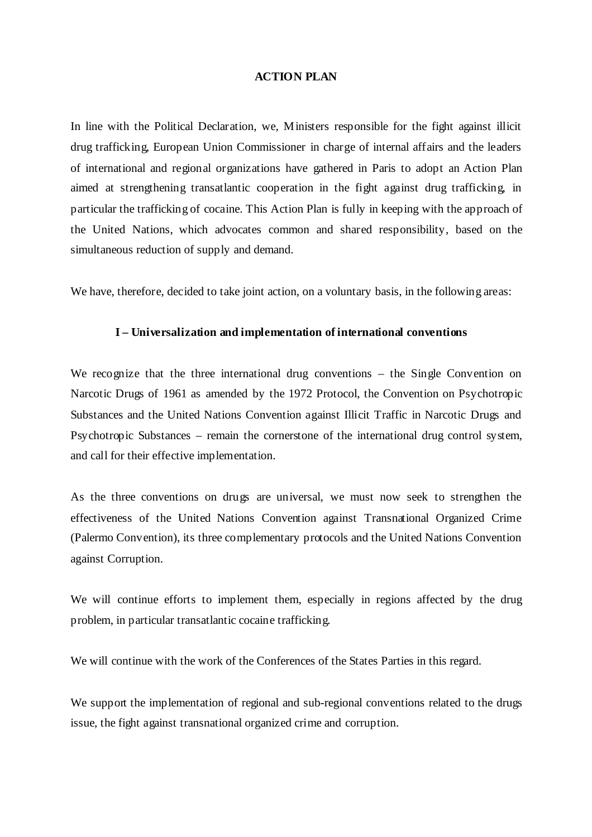### **ACTION PLAN**

In line with the Political Declaration, we, Ministers responsible for the fight against illicit drug trafficking, European Union Commissioner in charge of internal affairs and the leaders of international and regional organizations have gathered in Paris to adopt an Action Plan aimed at strengthening transatlantic cooperation in the fight against drug trafficking, in particular the trafficking of cocaine. This Action Plan is fully in keeping with the approach of the United Nations, which advocates common and shared responsibility, based on the simultaneous reduction of supply and demand.

We have, therefore, decided to take joint action, on a voluntary basis, in the following areas:

## **I – Universalization and implementation of international conventions**

We recognize that the three international drug conventions – the Single Convention on Narcotic Drugs of 1961 as amended by the 1972 Protocol, the Convention on Psychotropic Substances and the United Nations Convention against Illicit Traffic in Narcotic Drugs and Psychotropic Substances – remain the cornerstone of the international drug control system, and call for their effective implementation.

As the three conventions on drugs are universal, we must now seek to strengthen the effectiveness of the United Nations Convention against Transnational Organized Crime (Palermo Convention), its three complementary protocols and the United Nations Convention against Corruption.

We will continue efforts to implement them, especially in regions affected by the drug problem, in particular transatlantic cocaine trafficking.

We will continue with the work of the Conferences of the States Parties in this regard.

We support the implementation of regional and sub-regional conventions related to the drugs issue, the fight against transnational organized crime and corruption.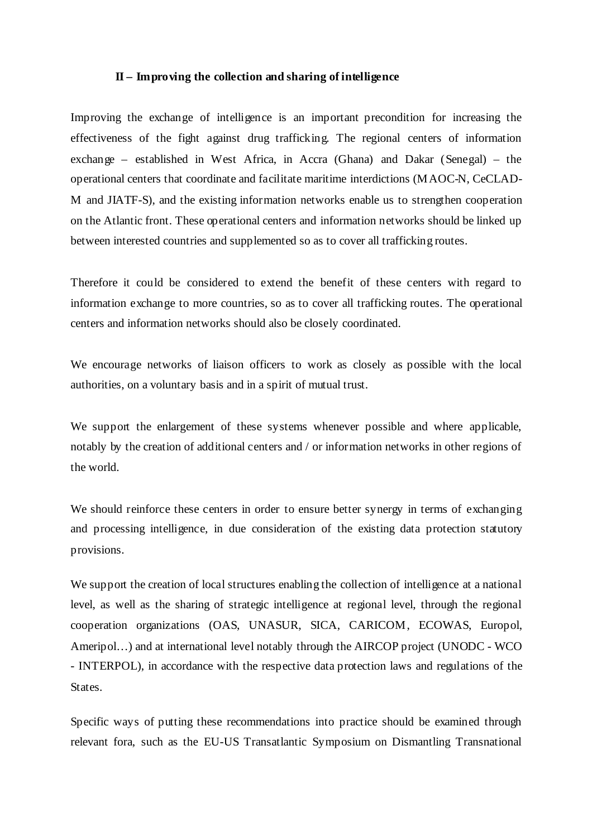#### **II – Improving the collection and sharing of intelligence**

Improving the exchange of intelligence is an important precondition for increasing the effectiveness of the fight against drug trafficking. The regional centers of information exchange – established in West Africa, in Accra (Ghana) and Dakar (Senegal) – the operational centers that coordinate and facilitate maritime interdictions (MAOC-N, CeCLAD-M and JIATF-S), and the existing information networks enable us to strengthen cooperation on the Atlantic front. These operational centers and information networks should be linked up between interested countries and supplemented so as to cover all trafficking routes.

Therefore it could be considered to extend the benefit of these centers with regard to information exchange to more countries, so as to cover all trafficking routes. The operational centers and information networks should also be closely coordinated.

We encourage networks of liaison officers to work as closely as possible with the local authorities, on a voluntary basis and in a spirit of mutual trust.

We support the enlargement of these systems whenever possible and where applicable, notably by the creation of additional centers and / or information networks in other regions of the world.

We should reinforce these centers in order to ensure better synergy in terms of exchanging and processing intelligence, in due consideration of the existing data protection statutory provisions.

We support the creation of local structures enabling the collection of intelligence at a national level, as well as the sharing of strategic intelligence at regional level, through the regional cooperation organizations (OAS, UNASUR, SICA, CARICOM, ECOWAS, Europol, Ameripol…) and at international level notably through the AIRCOP project (UNODC - WCO - INTERPOL), in accordance with the respective data protection laws and regulations of the States.

Specific ways of putting these recommendations into practice should be examined through relevant fora, such as the EU-US Transatlantic Symposium on Dismantling Transnational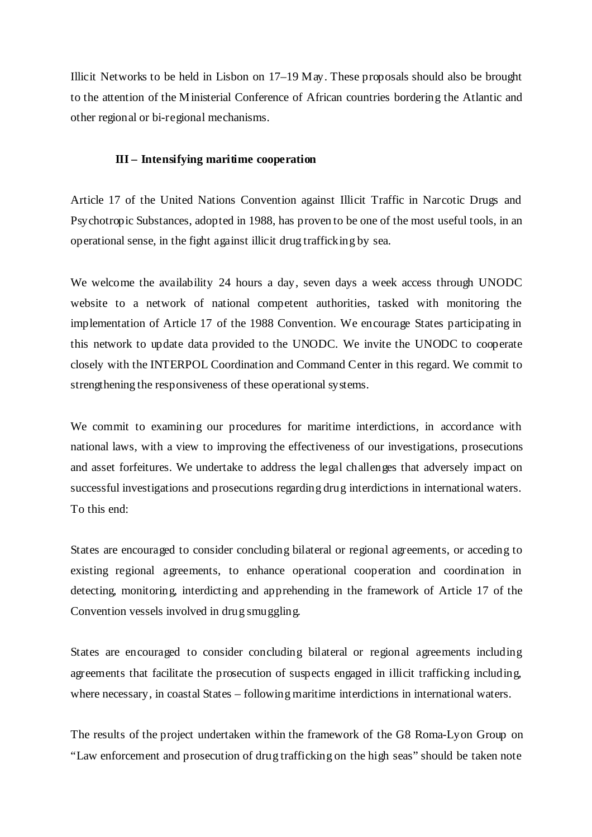Illicit Networks to be held in Lisbon on 17–19 May. These proposals should also be brought to the attention of the Ministerial Conference of African countries bordering the Atlantic and other regional or bi-regional mechanisms.

## **III – Intensifying maritime cooperation**

Article 17 of the United Nations Convention against Illicit Traffic in Narcotic Drugs and Psychotropic Substances, adopted in 1988, has proven to be one of the most useful tools, in an operational sense, in the fight against illicit drug trafficking by sea.

We welcome the availability 24 hours a day, seven days a week access through UNODC website to a network of national competent authorities, tasked with monitoring the implementation of Article 17 of the 1988 Convention. We encourage States participating in this network to update data provided to the UNODC. We invite the UNODC to cooperate closely with the INTERPOL Coordination and Command Center in this regard. We commit to strengthening the responsiveness of these operational systems.

We commit to examining our procedures for maritime interdictions, in accordance with national laws, with a view to improving the effectiveness of our investigations, prosecutions and asset forfeitures. We undertake to address the legal challenges that adversely impact on successful investigations and prosecutions regarding drug interdictions in international waters. To this end:

States are encouraged to consider concluding bilateral or regional agreements, or acceding to existing regional agreements, to enhance operational cooperation and coordination in detecting, monitoring, interdicting and apprehending in the framework of Article 17 of the Convention vessels involved in drug smuggling.

States are encouraged to consider concluding bilateral or regional agreements including agreements that facilitate the prosecution of suspects engaged in illicit trafficking including, where necessary, in coastal States – following maritime interdictions in international waters.

The results of the project undertaken within the framework of the G8 Roma-Lyon Group on "Law enforcement and prosecution of drug trafficking on the high seas" should be taken note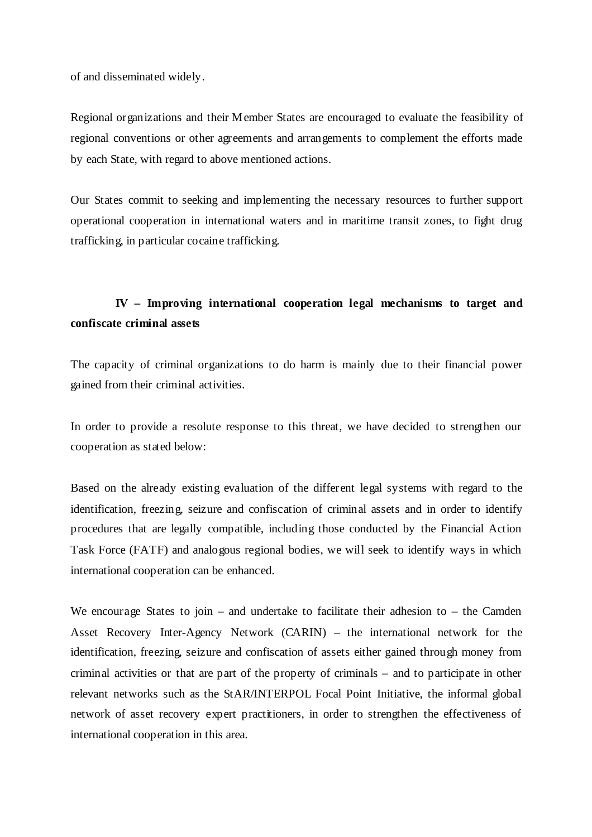of and disseminated widely.

Regional organizations and their Member States are encouraged to evaluate the feasibility of regional conventions or other agreements and arrangements to complement the efforts made by each State, with regard to above mentioned actions.

Our States commit to seeking and implementing the necessary resources to further support operational cooperation in international waters and in maritime transit zones, to fight drug trafficking, in particular cocaine trafficking.

# **IV – Improving international cooperation legal mechanisms to target and confiscate criminal assets**

The capacity of criminal organizations to do harm is mainly due to their financial power gained from their criminal activities.

In order to provide a resolute response to this threat, we have decided to strengthen our cooperation as stated below:

Based on the already existing evaluation of the different legal systems with regard to the identification, freezing, seizure and confiscation of criminal assets and in order to identify procedures that are legally compatible, including those conducted by the Financial Action Task Force (FATF) and analogous regional bodies, we will seek to identify ways in which international cooperation can be enhanced.

We encourage States to join – and undertake to facilitate their adhesion to – the Camden Asset Recovery Inter-Agency Network (CARIN) – the international network for the identification, freezing, seizure and confiscation of assets either gained through money from criminal activities or that are part of the property of criminals – and to participate in other relevant networks such as the StAR/INTERPOL Focal Point Initiative, the informal global network of asset recovery expert practitioners, in order to strengthen the effectiveness of international cooperation in this area.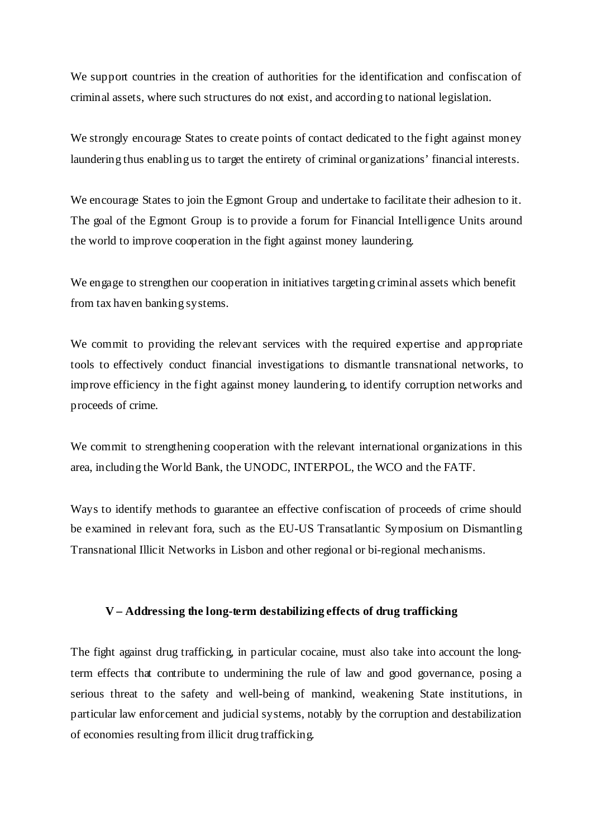We support countries in the creation of authorities for the identification and confiscation of criminal assets, where such structures do not exist, and according to national legislation.

We strongly encourage States to create points of contact dedicated to the fight against money laundering thus enabling us to target the entirety of criminal organizations' financial interests.

We encourage States to join the Egmont Group and undertake to facilitate their adhesion to it. The goal of the Egmont Group is to provide a forum for Financial Intelligence Units around the world to improve cooperation in the fight against money laundering.

We engage to strengthen our cooperation in initiatives targeting criminal assets which benefit from tax haven banking systems.

We commit to providing the relevant services with the required expertise and appropriate tools to effectively conduct financial investigations to dismantle transnational networks, to improve efficiency in the fight against money laundering, to identify corruption networks and proceeds of crime.

We commit to strengthening cooperation with the relevant international organizations in this area, including the World Bank, the UNODC, INTERPOL, the WCO and the FATF.

Ways to identify methods to guarantee an effective confiscation of proceeds of crime should be examined in relevant fora, such as the EU-US Transatlantic Symposium on Dismantling Transnational Illicit Networks in Lisbon and other regional or bi-regional mechanisms.

## **V – Addressing the long-term destabilizing effects of drug trafficking**

The fight against drug trafficking, in particular cocaine, must also take into account the longterm effects that contribute to undermining the rule of law and good governance, posing a serious threat to the safety and well-being of mankind, weakening State institutions, in particular law enforcement and judicial systems, notably by the corruption and destabilization of economies resulting from illicit drug trafficking.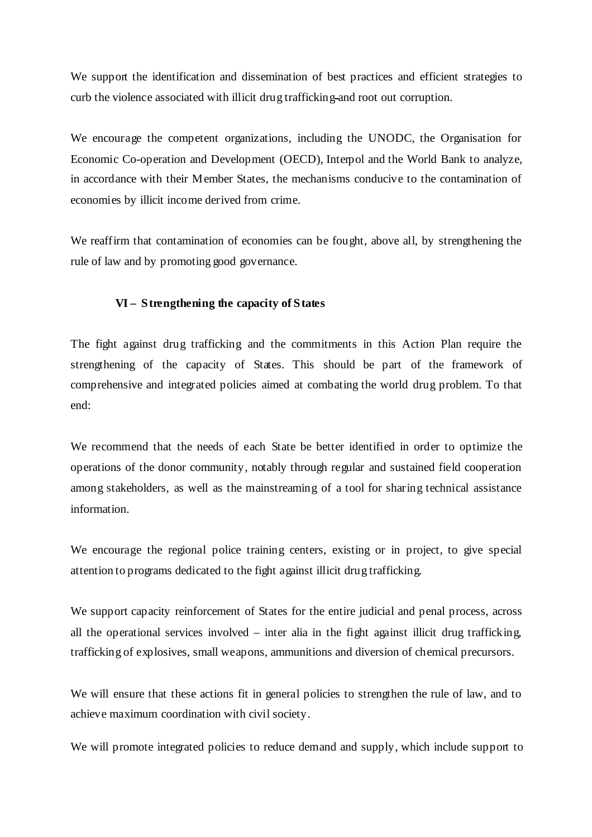We support the identification and dissemination of best practices and efficient strategies to curb the violence associated with illicit drug trafficking and root out corruption.

We encourage the competent organizations, including the UNODC, the Organisation for Economic Co-operation and Development (OECD), Interpol and the World Bank to analyze, in accordance with their Member States, the mechanisms conducive to the contamination of economies by illicit income derived from crime.

We reaffirm that contamination of economies can be fought, above all, by strengthening the rule of law and by promoting good governance.

## **VI –****Strengthening the capacity of States**

The fight against drug trafficking and the commitments in this Action Plan require the strengthening of the capacity of States. This should be part of the framework of comprehensive and integrated policies aimed at combating the world drug problem. To that end:

We recommend that the needs of each State be better identified in order to optimize the operations of the donor community, notably through regular and sustained field cooperation among stakeholders, as well as the mainstreaming of a tool for sharing technical assistance information.

We encourage the regional police training centers, existing or in project, to give special attention to programs dedicated to the fight against illicit drug trafficking.

We support capacity reinforcement of States for the entire judicial and penal process, across all the operational services involved – inter alia in the fight against illicit drug trafficking, trafficking of explosives, small weapons, ammunitions and diversion of chemical precursors.

We will ensure that these actions fit in general policies to strengthen the rule of law, and to achieve maximum coordination with civil society.

We will promote integrated policies to reduce demand and supply, which include support to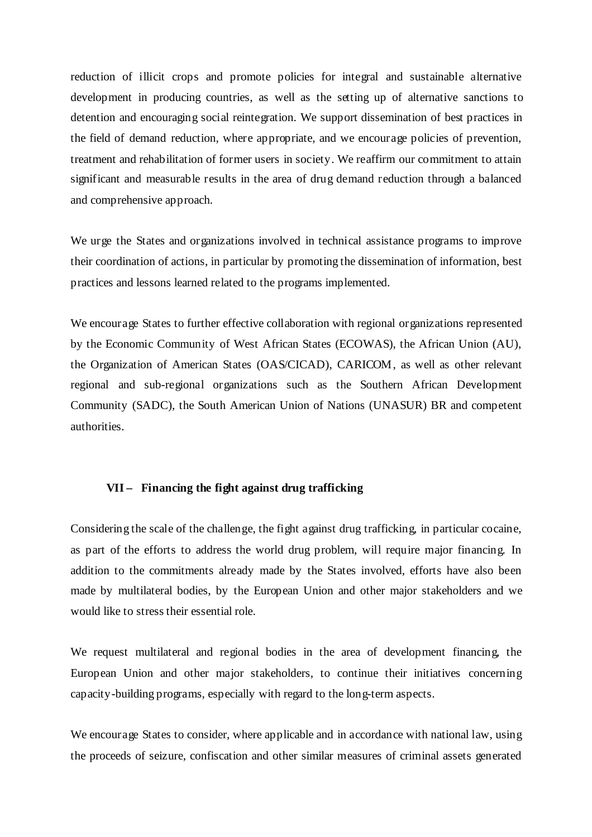reduction of illicit crops and promote policies for integral and sustainable alternative development in producing countries, as well as the setting up of alternative sanctions to detention and encouraging social reintegration. We support dissemination of best practices in the field of demand reduction, where appropriate, and we encourage policies of prevention, treatment and rehabilitation of former users in society. We reaffirm our commitment to attain significant and measurable results in the area of drug demand reduction through a balanced and comprehensive approach.

We urge the States and organizations involved in technical assistance programs to improve their coordination of actions, in particular by promoting the dissemination of information, best practices and lessons learned related to the programs implemented.

We encourage States to further effective collaboration with regional organizations represented by the Economic Community of West African States (ECOWAS), the African Union (AU), the Organization of American States (OAS/CICAD), CARICOM, as well as other relevant regional and sub-regional organizations such as the Southern African Development Community (SADC), the South American Union of Nations (UNASUR) BR and competent authorities.

### **VII – Financing the fight against drug trafficking**

Considering the scale of the challenge, the fight against drug trafficking, in particular cocaine, as part of the efforts to address the world drug problem, will require major financing. In addition to the commitments already made by the States involved, efforts have also been made by multilateral bodies, by the European Union and other major stakeholders and we would like to stress their essential role.

We request multilateral and regional bodies in the area of development financing, the European Union and other major stakeholders, to continue their initiatives concerning capacity-building programs, especially with regard to the long-term aspects.

We encourage States to consider, where applicable and in accordance with national law, using the proceeds of seizure, confiscation and other similar measures of criminal assets generated